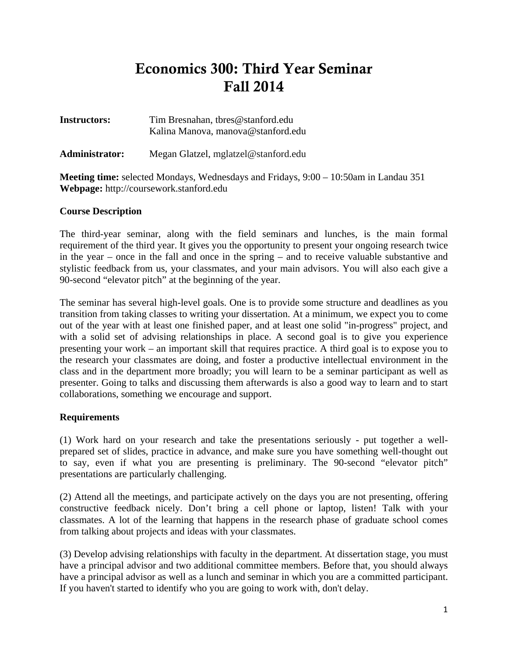# Economics 300: Third Year Seminar Fall 2014

| <b>Instructors:</b>   | Tim Bresnahan, thres@stanford.edu<br>Kalina Manova, manova@stanford.edu |
|-----------------------|-------------------------------------------------------------------------|
| <b>Administrator:</b> | Megan Glatzel, mglatzel@stanford.edu                                    |

**Meeting time:** selected Mondays, Wednesdays and Fridays, 9:00 – 10:50am in Landau 351 **Webpage:** http://coursework.stanford.edu

# **Course Description**

The third-year seminar, along with the field seminars and lunches, is the main formal requirement of the third year. It gives you the opportunity to present your ongoing research twice in the year – once in the fall and once in the spring – and to receive valuable substantive and stylistic feedback from us, your classmates, and your main advisors. You will also each give a 90-second "elevator pitch" at the beginning of the year.

The seminar has several high-level goals. One is to provide some structure and deadlines as you transition from taking classes to writing your dissertation. At a minimum, we expect you to come out of the year with at least one finished paper, and at least one solid "in-progress" project, and with a solid set of advising relationships in place. A second goal is to give you experience presenting your work – an important skill that requires practice. A third goal is to expose you to the research your classmates are doing, and foster a productive intellectual environment in the class and in the department more broadly; you will learn to be a seminar participant as well as presenter. Going to talks and discussing them afterwards is also a good way to learn and to start collaborations, something we encourage and support.

# **Requirements**

(1) Work hard on your research and take the presentations seriously - put together a wellprepared set of slides, practice in advance, and make sure you have something well-thought out to say, even if what you are presenting is preliminary. The 90-second "elevator pitch" presentations are particularly challenging.

(2) Attend all the meetings, and participate actively on the days you are not presenting, offering constructive feedback nicely. Don't bring a cell phone or laptop, listen! Talk with your classmates. A lot of the learning that happens in the research phase of graduate school comes from talking about projects and ideas with your classmates.

(3) Develop advising relationships with faculty in the department. At dissertation stage, you must have a principal advisor and two additional committee members. Before that, you should always have a principal advisor as well as a lunch and seminar in which you are a committed participant. If you haven't started to identify who you are going to work with, don't delay.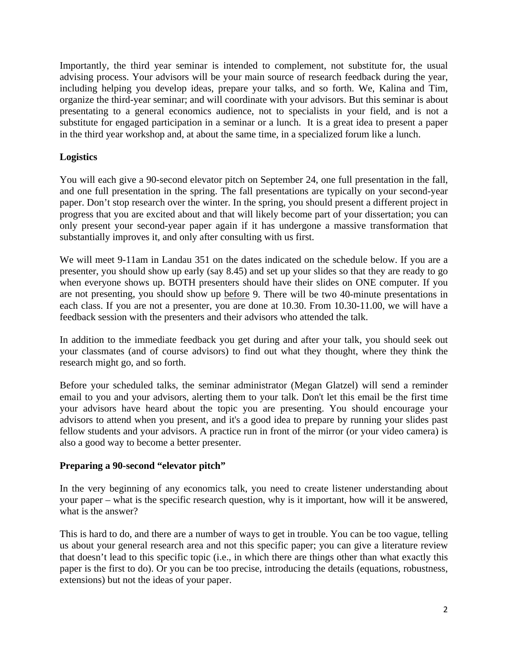Importantly, the third year seminar is intended to complement, not substitute for, the usual advising process. Your advisors will be your main source of research feedback during the year, including helping you develop ideas, prepare your talks, and so forth. We, Kalina and Tim, organize the third-year seminar; and will coordinate with your advisors. But this seminar is about presentating to a general economics audience, not to specialists in your field, and is not a substitute for engaged participation in a seminar or a lunch. It is a great idea to present a paper in the third year workshop and, at about the same time, in a specialized forum like a lunch.

# **Logistics**

You will each give a 90-second elevator pitch on September 24, one full presentation in the fall, and one full presentation in the spring. The fall presentations are typically on your second-year paper. Don't stop research over the winter. In the spring, you should present a different project in progress that you are excited about and that will likely become part of your dissertation; you can only present your second-year paper again if it has undergone a massive transformation that substantially improves it, and only after consulting with us first.

We will meet 9-11am in Landau 351 on the dates indicated on the schedule below. If you are a presenter, you should show up early (say 8.45) and set up your slides so that they are ready to go when everyone shows up. BOTH presenters should have their slides on ONE computer. If you are not presenting, you should show up before 9. There will be two 40-minute presentations in each class. If you are not a presenter, you are done at 10.30. From 10.30-11.00, we will have a feedback session with the presenters and their advisors who attended the talk.

In addition to the immediate feedback you get during and after your talk, you should seek out your classmates (and of course advisors) to find out what they thought, where they think the research might go, and so forth.

Before your scheduled talks, the seminar administrator (Megan Glatzel) will send a reminder email to you and your advisors, alerting them to your talk. Don't let this email be the first time your advisors have heard about the topic you are presenting. You should encourage your advisors to attend when you present, and it's a good idea to prepare by running your slides past fellow students and your advisors. A practice run in front of the mirror (or your video camera) is also a good way to become a better presenter.

#### **Preparing a 90-second "elevator pitch"**

In the very beginning of any economics talk, you need to create listener understanding about your paper – what is the specific research question, why is it important, how will it be answered, what is the answer?

This is hard to do, and there are a number of ways to get in trouble. You can be too vague, telling us about your general research area and not this specific paper; you can give a literature review that doesn't lead to this specific topic (i.e., in which there are things other than what exactly this paper is the first to do). Or you can be too precise, introducing the details (equations, robustness, extensions) but not the ideas of your paper.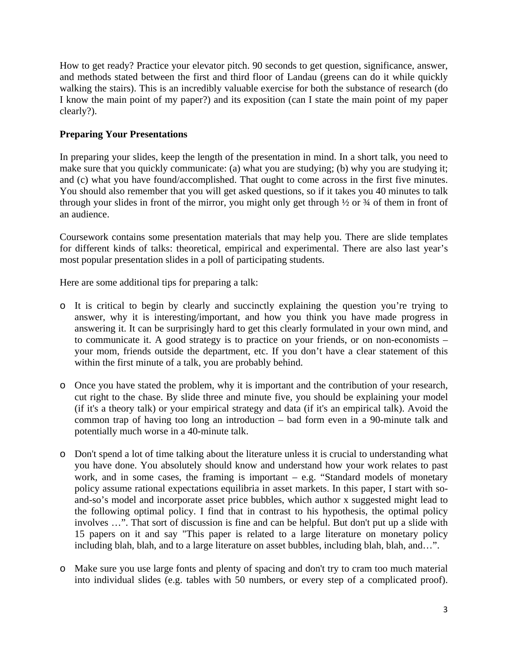How to get ready? Practice your elevator pitch. 90 seconds to get question, significance, answer, and methods stated between the first and third floor of Landau (greens can do it while quickly walking the stairs). This is an incredibly valuable exercise for both the substance of research (do I know the main point of my paper?) and its exposition (can I state the main point of my paper clearly?).

# **Preparing Your Presentations**

In preparing your slides, keep the length of the presentation in mind. In a short talk, you need to make sure that you quickly communicate: (a) what you are studying; (b) why you are studying it; and (c) what you have found/accomplished. That ought to come across in the first five minutes. You should also remember that you will get asked questions, so if it takes you 40 minutes to talk through your slides in front of the mirror, you might only get through  $\frac{1}{2}$  or  $\frac{3}{4}$  of them in front of an audience.

Coursework contains some presentation materials that may help you. There are slide templates for different kinds of talks: theoretical, empirical and experimental. There are also last year's most popular presentation slides in a poll of participating students.

Here are some additional tips for preparing a talk:

- o It is critical to begin by clearly and succinctly explaining the question you're trying to answer, why it is interesting/important, and how you think you have made progress in answering it. It can be surprisingly hard to get this clearly formulated in your own mind, and to communicate it. A good strategy is to practice on your friends, or on non-economists – your mom, friends outside the department, etc. If you don't have a clear statement of this within the first minute of a talk, you are probably behind.
- o Once you have stated the problem, why it is important and the contribution of your research, cut right to the chase. By slide three and minute five, you should be explaining your model (if it's a theory talk) or your empirical strategy and data (if it's an empirical talk). Avoid the common trap of having too long an introduction – bad form even in a 90-minute talk and potentially much worse in a 40-minute talk.
- o Don't spend a lot of time talking about the literature unless it is crucial to understanding what you have done. You absolutely should know and understand how your work relates to past work, and in some cases, the framing is important – e.g. "Standard models of monetary policy assume rational expectations equilibria in asset markets. In this paper, I start with soand-so's model and incorporate asset price bubbles, which author x suggested might lead to the following optimal policy. I find that in contrast to his hypothesis, the optimal policy involves …". That sort of discussion is fine and can be helpful. But don't put up a slide with 15 papers on it and say "This paper is related to a large literature on monetary policy including blah, blah, and to a large literature on asset bubbles, including blah, blah, and…".
- o Make sure you use large fonts and plenty of spacing and don't try to cram too much material into individual slides (e.g. tables with 50 numbers, or every step of a complicated proof).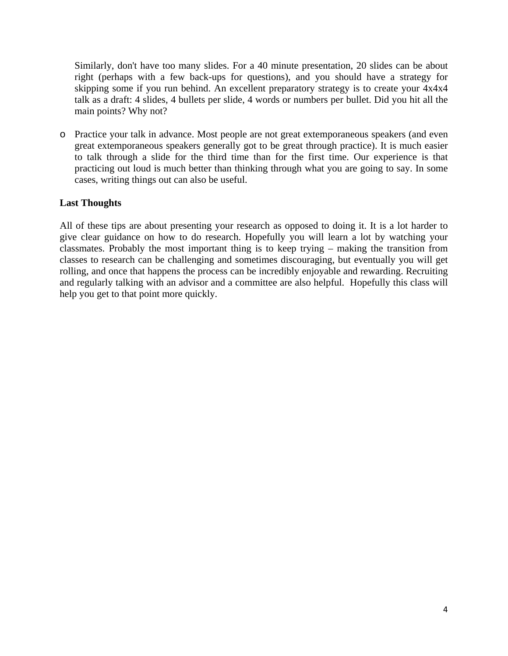Similarly, don't have too many slides. For a 40 minute presentation, 20 slides can be about right (perhaps with a few back-ups for questions), and you should have a strategy for skipping some if you run behind. An excellent preparatory strategy is to create your 4x4x4 talk as a draft: 4 slides, 4 bullets per slide, 4 words or numbers per bullet. Did you hit all the main points? Why not?

o Practice your talk in advance. Most people are not great extemporaneous speakers (and even great extemporaneous speakers generally got to be great through practice). It is much easier to talk through a slide for the third time than for the first time. Our experience is that practicing out loud is much better than thinking through what you are going to say. In some cases, writing things out can also be useful.

# **Last Thoughts**

All of these tips are about presenting your research as opposed to doing it. It is a lot harder to give clear guidance on how to do research. Hopefully you will learn a lot by watching your classmates. Probably the most important thing is to keep trying – making the transition from classes to research can be challenging and sometimes discouraging, but eventually you will get rolling, and once that happens the process can be incredibly enjoyable and rewarding. Recruiting and regularly talking with an advisor and a committee are also helpful. Hopefully this class will help you get to that point more quickly.